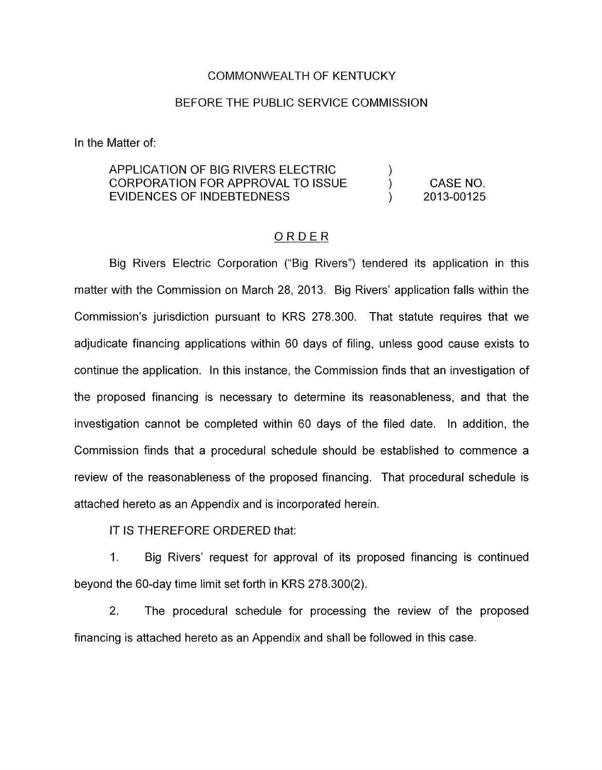## COMMONWEALTH OF KENTUCKY

## BEFORE THE PUBLIC SERVICE COMMISSION

In the Matter of:

#### APPLICATION OF BIG RIVERS ELECTRIC CORPORATION FOR APPROVAL TO ISSUE EVIDENCES OF INDEBTEDNESS  $\left\{ \right\}$ ) CASE NO. ) 2013-00125

## \_\_.~\_\_ ORDER

Big Rivers Electric Corporation ("Big Rivers") tendered its application in this matter with the Commission on March 28, 2013. Big Rivers' application falls within the Commission's jurisdiction pursuant to KRS 278.300. That statute requires that we adjudicate financing applications within 60 days of filing, unless good cause exists to continue the application. In this instance, the Commission finds that an investigation of the proposed financing is necessary to determine its reasonableness, and that the investigation cannot be completed within 60 days of the filed date. In addition, the Commission finds that a procedural schedule should be established to commence a review of the reasonableness of the proposed financing. That procedural schedule is attached hereto as an Appendix and is incorporated herein.

IT IS THEREFORE ORDERED that:

1. Big Rivers' request for approval of its proposed financing is continued beyond the 60-day time limit set forth in KRS 278.300(2).

2. The procedural schedule for processing the review of the proposed financing is attached hereto as an Appendix and shall be followed in this case.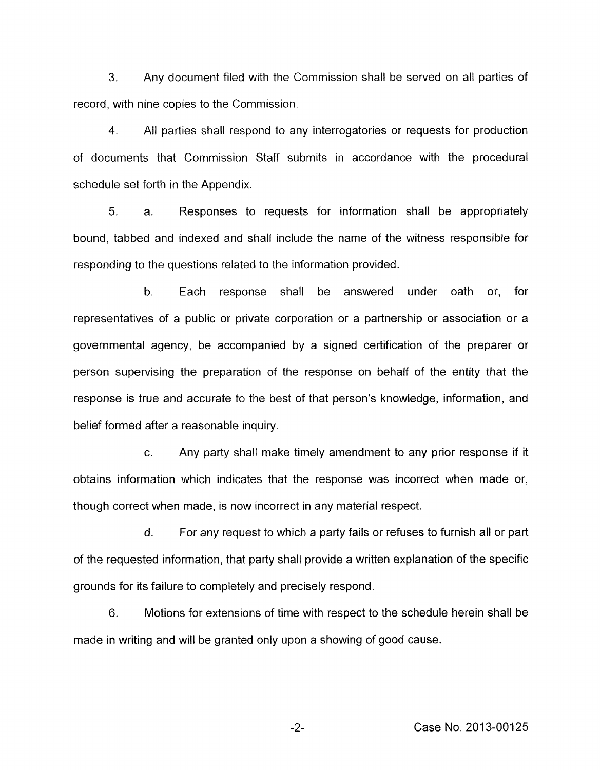**3.** Any document filed with the Commission shall be served on all parties of record, with nine copies to the Commission.

**4.** All parties shall respond to any interrogatories or requests for production of documents that Commission Staff submits in accordance with the procedural schedule set forth in the Appendix.

5. a. Responses to requests for information shall be appropriately bound, tabbed and indexed and shall include the name of the witness responsible for responding to the questions related to the information provided.

b. Each response shall be answered under oath or, for representatives of a public or private corporation or a partnership or association or a governmental agency, be accompanied by a signed certification of the preparer or person supervising the preparation of the response on behalf of the entity that the response is true and accurate to the best of that person's knowledge, information, and belief formed after a reasonable inquiry.

c. Any party shall make timely amendment to any prior response if it obtains information which indicates that the response was incorrect when made or, though correct when made, is now incorrect in any material respect.

d. For any request to which a party fails or refuses to furnish all or part of the requested information, that party shall provide a written explanation of the specific grounds for its failure to completely and precisely respond.

6. Motions for extensions of time with respect to the schedule herein shall be made in writing and will be granted only upon a showing of good cause.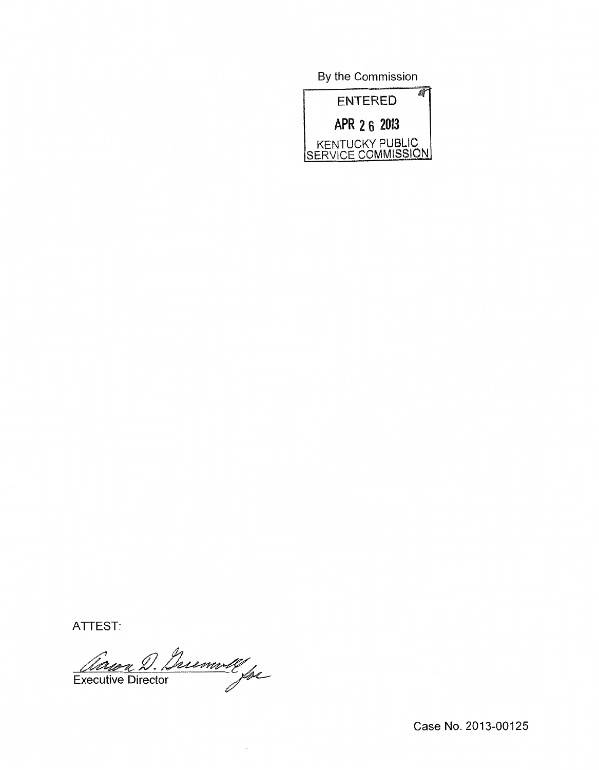By the Commission



ATTEST:

Aavon D. Ducouvel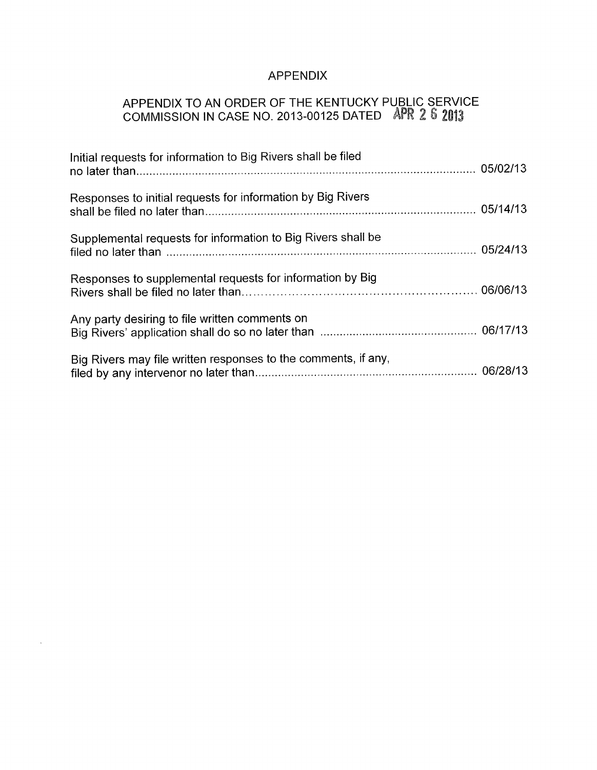# APPENDIX

# APPENDIX TO AN ORDER OF THE KENTUCKY PUBLIC SERVICE COMMISSION IN CASE NO. 2013-00125 DATED

| Initial requests for information to Big Rivers shall be filed  |  |
|----------------------------------------------------------------|--|
| Responses to initial requests for information by Big Rivers    |  |
| Supplemental requests for information to Big Rivers shall be   |  |
| Responses to supplemental requests for information by Big      |  |
| Any party desiring to file written comments on                 |  |
| Big Rivers may file written responses to the comments, if any, |  |